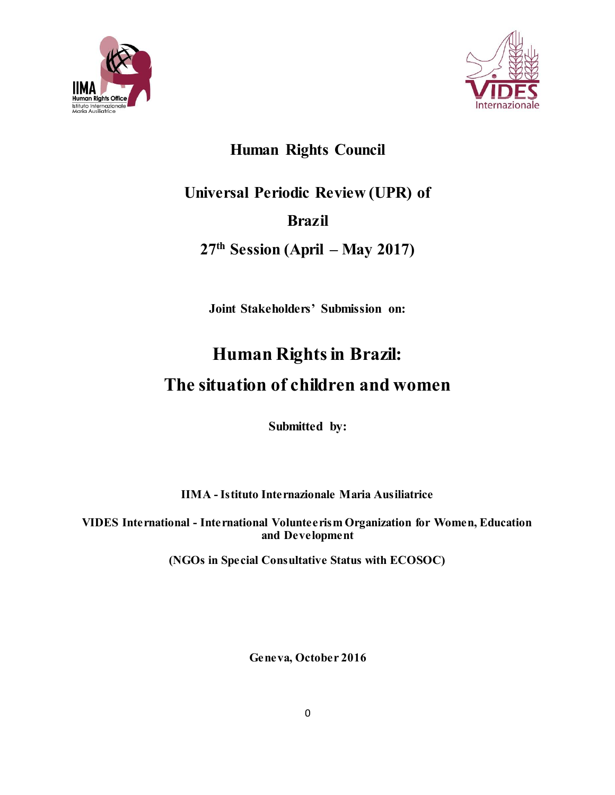



# **Human Rights Council**

# **Universal Periodic Review (UPR) of Brazil**

# **27th Session (April – May 2017)**

**Joint Stakeholders' Submission on:**

# **Human Rights in Brazil: The situation of children and women**

**Submitted by:**

**IIMA - Istituto Internazionale Maria Ausiliatrice**

**VIDES International - International Volunteerism Organization for Women, Education and Development**

**(NGOs in Special Consultative Status with ECOSOC)**

**Geneva, October 2016**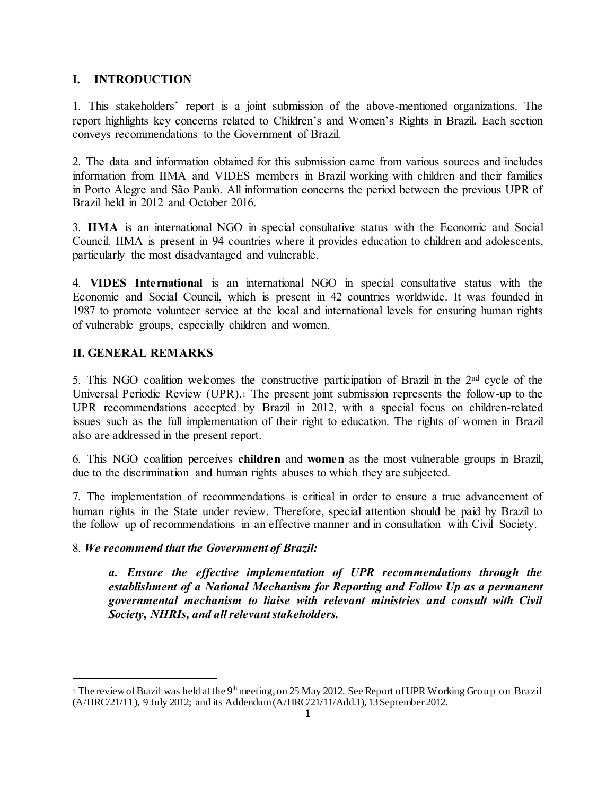# **I. INTRODUCTION**

1. This stakeholders' report is a joint submission of the above-mentioned organizations. The report highlights key concerns related to Children's and Women's Rights in Brazil**.** Each section conveys recommendations to the Government of Brazil.

2. The data and information obtained for this submission came from various sources and includes information from IIMA and VIDES members in Brazil working with children and their families in Porto Alegre and São Paulo. All information concerns the period between the previous UPR of Brazil held in 2012 and October 2016.

3. **IIMA** is an international NGO in special consultative status with the Economic and Social Council. IIMA is present in 94 countries where it provides education to children and adolescents, particularly the most disadvantaged and vulnerable.

4. **VIDES International** is an international NGO in special consultative status with the Economic and Social Council, which is present in 42 countries worldwide. It was founded in 1987 to promote volunteer service at the local and international levels for ensuring human rights of vulnerable groups, especially children and women.

# **II. GENERAL REMARKS**

l

5. This NGO coalition welcomes the constructive participation of Brazil in the 2<sup>nd</sup> cycle of the Universal Periodic Review (UPR).<sup>1</sup> The present joint submission represents the follow-up to the UPR recommendations accepted by Brazil in 2012, with a special focus on children-related issues such as the full implementation of their right to education. The rights of women in Brazil also are addressed in the present report.

6. This NGO coalition perceives **children** and **women** as the most vulnerable groups in Brazil, due to the discrimination and human rights abuses to which they are subjected.

7. The implementation of recommendations is critical in order to ensure a true advancement of human rights in the State under review. Therefore, special attention should be paid by Brazil to the follow up of recommendations in an effective manner and in consultation with Civil Society.

# 8. *We recommend that the Government of Brazil:*

*a. Ensure the effective implementation of UPR recommendations through the establishment of a National Mechanism for Reporting and Follow Up as a permanent governmental mechanism to liaise with relevant ministries and consult with Civil Society, NHRIs, and all relevant stakeholders.*

<sup>&</sup>lt;sup>1</sup> The review of Brazil was held at the 9<sup>th</sup> meeting, on 25 May 2012. See Report of UPR Working Group on Brazil (A/HRC/21/11 ), 9 July 2012; and its Addendum (A/HRC/21/11/Add.1), 13 September 2012.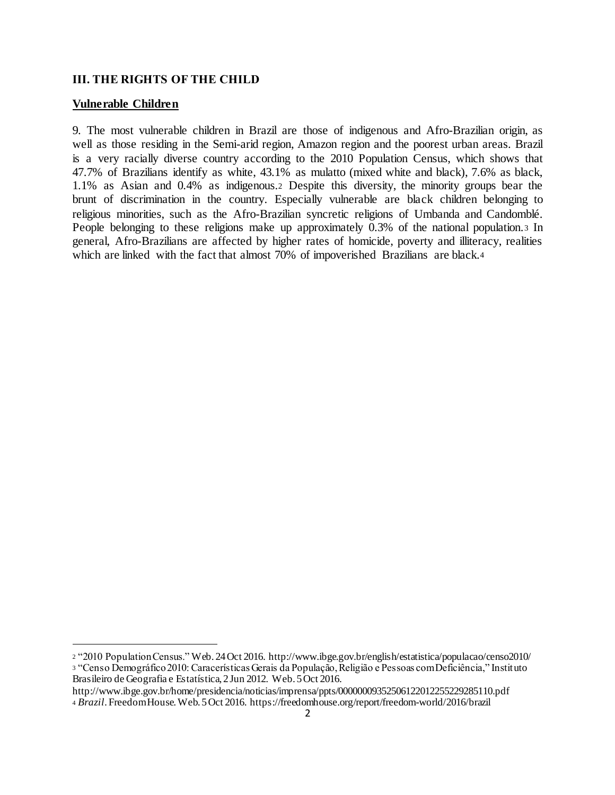#### **III. THE RIGHTS OF THE CHILD**

#### **Vulnerable Children**

l

9. The most vulnerable children in Brazil are those of indigenous and Afro-Brazilian origin, as well as those residing in the Semi-arid region, Amazon region and the poorest urban areas. Brazil is a very racially diverse country according to the 2010 Population Census, which shows that 47.7% of Brazilians identify as white, 43.1% as mulatto (mixed white and black), 7.6% as black, 1.1% as Asian and 0.4% as indigenous.<sup>2</sup> Despite this diversity, the minority groups bear the brunt of discrimination in the country. Especially vulnerable are black children belonging to religious minorities, such as the Afro-Brazilian syncretic religions of Umbanda and Candomblé. People belonging to these religions make up approximately 0.3% of the national population.<sup>3</sup> In general, Afro-Brazilians are affected by higher rates of homicide, poverty and illiteracy, realities which are linked with the fact that almost 70% of impoverished Brazilians are black.<sup>4</sup>

<sup>2</sup> "2010 Population Census." Web. 24 Oct 2016. http://www.ibge.gov.br/english/estatistica/populacao/censo2010/ <sup>3</sup> "Censo Demográfico 2010: Caracerísticas Gerais da População, Religião e Pessoas com Deficiência," Instituto Brasileiro de Geografia e Estatística, 2 Jun 2012. Web. 5 Oct 2016.

http://www.ibge.gov.br/home/presidencia/noticias/imprensa/ppts/00000009352506122012255229285110.pdf <sup>4</sup> *Brazil*. Freedom House. Web. 5 Oct 2016. https://freedomhouse.org/report/freedom-world/2016/brazil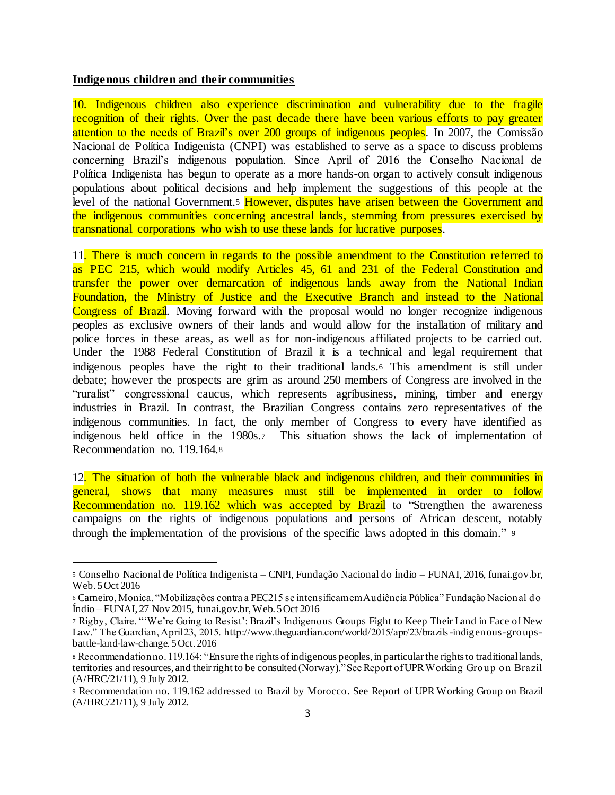#### **Indigenous children and their communities**

l

10. Indigenous children also experience discrimination and vulnerability due to the fragile recognition of their rights. Over the past decade there have been various efforts to pay greater attention to the needs of Brazil's over 200 groups of indigenous peoples. In 2007, the Comissão Nacional de Política Indigenista (CNPI) was established to serve as a space to discuss problems concerning Brazil's indigenous population. Since April of 2016 the Conselho Nacional de Política Indigenista has begun to operate as a more hands-on organ to actively consult indigenous populations about political decisions and help implement the suggestions of this people at the level of the national Government.<sup>5</sup> However, disputes have arisen between the Government and the indigenous communities concerning ancestral lands, stemming from pressures exercised by transnational corporations who wish to use these lands for lucrative purposes.

11. There is much concern in regards to the possible amendment to the Constitution referred to as PEC 215, which would modify Articles 45, 61 and 231 of the Federal Constitution and transfer the power over demarcation of indigenous lands away from the National Indian Foundation, the Ministry of Justice and the Executive Branch and instead to the National Congress of Brazil. Moving forward with the proposal would no longer recognize indigenous peoples as exclusive owners of their lands and would allow for the installation of military and police forces in these areas, as well as for non-indigenous affiliated projects to be carried out. Under the 1988 Federal Constitution of Brazil it is a technical and legal requirement that indigenous peoples have the right to their traditional lands.<sup>6</sup> This amendment is still under debate; however the prospects are grim as around 250 members of Congress are involved in the "ruralist" congressional caucus, which represents agribusiness, mining, timber and energy industries in Brazil. In contrast, the Brazilian Congress contains zero representatives of the indigenous communities. In fact, the only member of Congress to every have identified as indigenous held office in the 1980s.7 This situation shows the lack of implementation of Recommendation no. 119.164.<sup>8</sup>

12. The situation of both the vulnerable black and indigenous children, and their communities in general, shows that many measures must still be implemented in order to follow Recommendation no. 119.162 which was accepted by Brazil to "Strengthen the awareness" campaigns on the rights of indigenous populations and persons of African descent, notably through the implementation of the provisions of the specific laws adopted in this domain." <sup>9</sup>

<sup>5</sup> Conselho Nacional de Política Indigenista – CNPI, Fundação Nacional do Índio – FUNAI, 2016, funai.gov.br, Web. 5 Oct 2016

<sup>6</sup> Carneiro, Monica. "Mobilizações contra a PEC215 se intensificam em Audiência Pública" Fundação Nacional do  $Índio - FUNAI, 27 Nov 2015, funai.gov.br, Web. 5 Oct 2016$ 

<sup>7</sup> Rigby, Claire. "'We're Going to Resist': Brazil's Indigenous Groups Fight to Keep Their Land in Face of New Law." The Guardian, April 23, 2015. http://www.theguardian.com/world/2015/apr/23/brazils-indigenous-groupsbattle-land-law-change. 5 Oct. 2016

<sup>8</sup> Recommendation no. 119.164: "Ensure the rights of indigenous peoples, in particular the rights to traditional lands, territories and resources, and their right to be consulted(Norway)." See Report of UPR Working Group on Brazil (A/HRC/21/11), 9 July 2012.

<sup>9</sup> Recommendation no. 119.162 addressed to Brazil by Morocco. See Report of UPR Working Group on Brazil (A/HRC/21/11), 9 July 2012.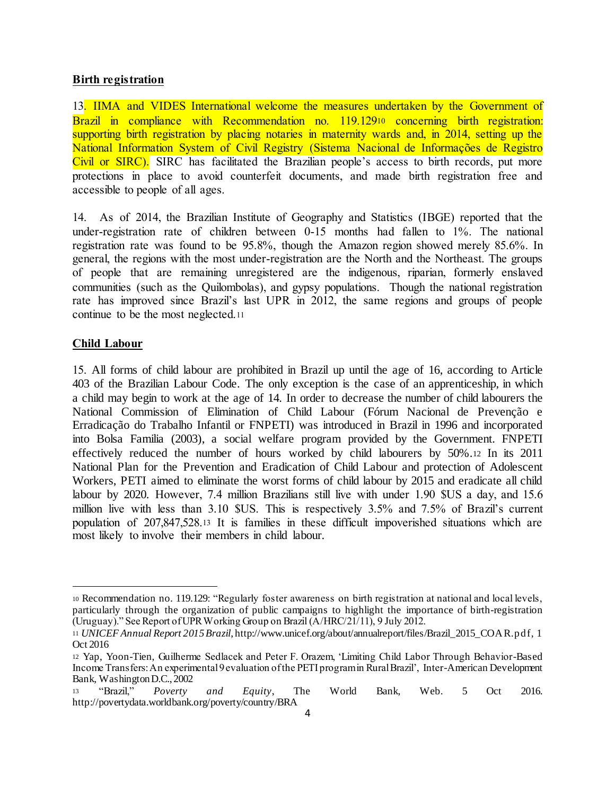#### **Birth registration**

13. IIMA and VIDES International welcome the measures undertaken by the Government of Brazil in compliance with Recommendation no. 119.129<sup>10</sup> concerning birth registration: supporting birth registration by placing notaries in maternity wards and, in 2014, setting up the National Information System of Civil Registry (Sistema Nacional de Informações de Registro Civil or SIRC). SIRC has facilitated the Brazilian people's access to birth records, put more protections in place to avoid counterfeit documents, and made birth registration free and accessible to people of all ages.

14. As of 2014, the Brazilian Institute of Geography and Statistics (IBGE) reported that the under-registration rate of children between 0-15 months had fallen to 1%. The national registration rate was found to be 95.8%, though the Amazon region showed merely 85.6%. In general, the regions with the most under-registration are the North and the Northeast. The groups of people that are remaining unregistered are the indigenous, riparian, formerly enslaved communities (such as the Quilombolas), and gypsy populations. Though the national registration rate has improved since Brazil's last UPR in 2012, the same regions and groups of people continue to be the most neglected.<sup>11</sup>

#### **Child Labour**

l

15. All forms of child labour are prohibited in Brazil up until the age of 16, according to Article 403 of the Brazilian Labour Code. The only exception is the case of an apprenticeship, in which a child may begin to work at the age of 14. In order to decrease the number of child labourers the National Commission of Elimination of Child Labour (Fórum Nacional de Prevenção e Erradicação do Trabalho Infantil or FNPETI) was introduced in Brazil in 1996 and incorporated into Bolsa Familia (2003), a social welfare program provided by the Government. FNPETI effectively reduced the number of hours worked by child labourers by 50%.<sup>12</sup> In its 2011 National Plan for the Prevention and Eradication of Child Labour and protection of Adolescent Workers, PETI aimed to eliminate the worst forms of child labour by 2015 and eradicate all child labour by 2020. However, 7.4 million Brazilians still live with under 1.90 \$US a day, and 15.6 million live with less than 3.10 \$US. This is respectively 3.5% and 7.5% of Brazil's current population of 207,847,528.<sup>13</sup> It is families in these difficult impoverished situations which are most likely to involve their members in child labour.

<sup>10</sup> Recommendation no. 119.129: "Regularly foster awareness on birth registration at national and local levels, particularly through the organization of public campaigns to highlight the importance of birth-registration (Uruguay)." See Report of UPR Working Group on Brazil (A/HRC/21/11), 9 July 2012.

<sup>11</sup> *UNICEF Annual Report 2015 Brazil*, http://www.unicef.org/about/annualreport/files/Brazil\_2015\_COAR.pdf, 1 Oct 2016

<sup>12</sup> Yap, Yoon-Tien, Guilherme Sedlacek and Peter F. Orazem, 'Limiting Child Labor Through Behavior-Based Income Transfers: An experimental 9 evaluation of the PETI program in Rural Brazil', Inter-American Development Bank, Washington D.C., 2002

<sup>13</sup> "Brazil," *Poverty and Equity*, The World Bank, Web. 5 Oct 2016. http://povertydata.worldbank.org/poverty/country/BRA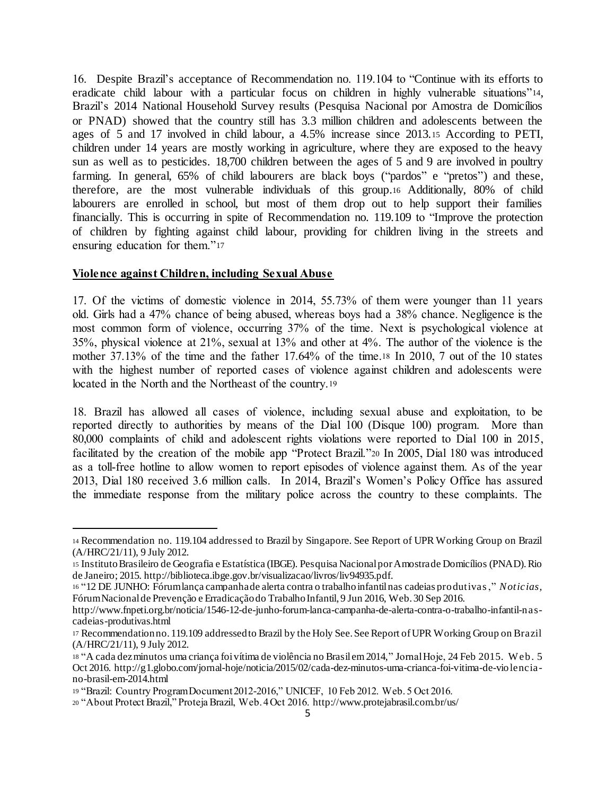16. Despite Brazil's acceptance of Recommendation no. 119.104 to "Continue with its efforts to eradicate child labour with a particular focus on children in highly vulnerable situations"14, Brazil's 2014 National Household Survey results (Pesquisa Nacional por Amostra de Domicílios or PNAD) showed that the country still has 3.3 million children and adolescents between the ages of 5 and 17 involved in child labour, a 4.5% increase since 2013.<sup>15</sup> According to PETI, children under 14 years are mostly working in agriculture, where they are exposed to the heavy sun as well as to pesticides. 18,700 children between the ages of 5 and 9 are involved in poultry farming. In general, 65% of child labourers are black boys ("pardos" e "pretos") and these, therefore, are the most vulnerable individuals of this group.<sup>16</sup> Additionally, 80% of child labourers are enrolled in school, but most of them drop out to help support their families financially. This is occurring in spite of Recommendation no. 119.109 to "Improve the protection of children by fighting against child labour, providing for children living in the streets and ensuring education for them."<sup>17</sup>

#### **Violence against Children, including Sexual Abuse**

l

17. Of the victims of domestic violence in 2014, 55.73% of them were younger than 11 years old. Girls had a 47% chance of being abused, whereas boys had a 38% chance. Negligence is the most common form of violence, occurring 37% of the time. Next is psychological violence at 35%, physical violence at 21%, sexual at 13% and other at 4%. The author of the violence is the mother 37.13% of the time and the father 17.64% of the time.<sup>18</sup> In 2010, 7 out of the 10 states with the highest number of reported cases of violence against children and adolescents were located in the North and the Northeast of the country.<sup>19</sup>

18. Brazil has allowed all cases of violence, including sexual abuse and exploitation, to be reported directly to authorities by means of the Dial 100 (Disque 100) program. More than 80,000 complaints of child and adolescent rights violations were reported to Dial 100 in 2015, facilitated by the creation of the mobile app "Protect Brazil."<sup>20</sup> In 2005, Dial 180 was introduced as a toll-free hotline to allow women to report episodes of violence against them. As of the year 2013, Dial 180 received 3.6 million calls. In 2014, Brazil's Women's Policy Office has assured the immediate response from the military police across the country to these complaints. The

<sup>14</sup> Recommendation no. 119.104 addressed to Brazil by Singapore. See Report of UPR Working Group on Brazil (A/HRC/21/11), 9 July 2012.

<sup>15</sup> Instituto Brasileiro de Geografia e Estatística (IBGE). Pesquisa Nacional por Amostra de Domicílios (PNAD). Rio de Janeiro; 2015. http://biblioteca.ibge.gov.br/visualizacao/livros/liv94935.pdf.

<sup>16</sup> "12 DE JUNHO: Fórum lança campanha de alerta contra o trabalho infantil nas cadeias produtivas," *Noticias,*  Fórum Nacional de Prevenção e Erradicação do Trabalho Infantil, 9 Jun 2016, Web. 30 Sep 2016.

http://www.fnpeti.org.br/noticia/1546-12-de-junho-forum-lanca-campanha-de-alerta-contra-o-trabalho-infantil-nascadeias-produtivas.html

<sup>17</sup> Recommendation no. 119.109 addressed to Brazil by the Holy See. See Report of UPR Working Group on Brazil (A/HRC/21/11), 9 July 2012.

<sup>18</sup> "A cada dez minutos uma criança foi vítima de violência no Brasil em 2014," Jornal Hoje, 24 Feb 2015. W eb. 5 Oct 2016. http://g1.globo.com/jornal-hoje/noticia/2015/02/cada-dez-minutos-uma-crianca-foi-vitima-de-violenciano-brasil-em-2014.html

<sup>19</sup> "Brazil: Country Program Document 2012-2016," UNICEF, 10 Feb 2012. Web. 5 Oct 2016.

<sup>20</sup> "About Protect Brazil," Proteja Brazil, Web. 4 Oct 2016. http://www.protejabrasil.com.br/us/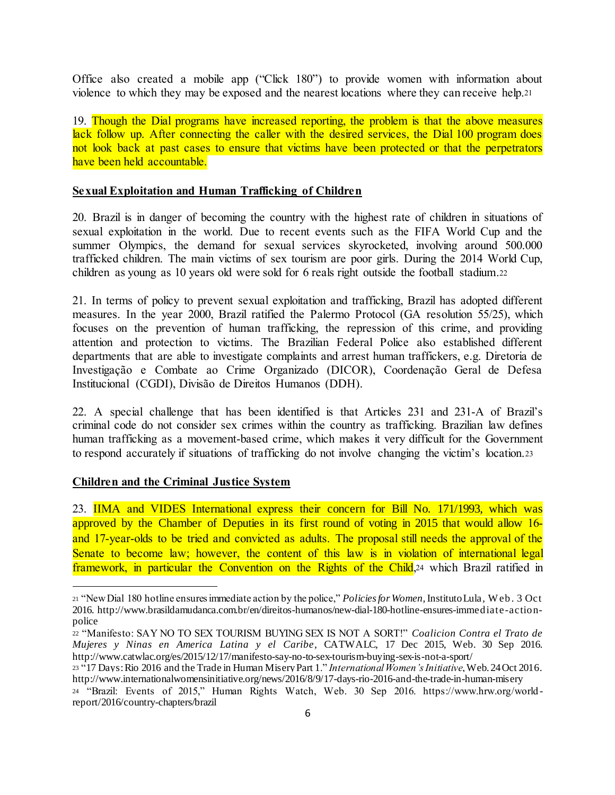Office also created a mobile app ("Click 180") to provide women with information about violence to which they may be exposed and the nearest locations where they can receive help.<sup>21</sup>

19. Though the Dial programs have increased reporting, the problem is that the above measures lack follow up. After connecting the caller with the desired services, the Dial 100 program does not look back at past cases to ensure that victims have been protected or that the perpetrators have been held accountable.

#### **Sexual Exploitation and Human Trafficking of Children**

20. Brazil is in danger of becoming the country with the highest rate of children in situations of sexual exploitation in the world. Due to recent events such as the FIFA World Cup and the summer Olympics, the demand for sexual services skyrocketed, involving around 500.000 trafficked children. The main victims of sex tourism are poor girls. During the 2014 World Cup, children as young as 10 years old were sold for 6 reals right outside the football stadium.<sup>22</sup>

21. In terms of policy to prevent sexual exploitation and trafficking, Brazil has adopted different measures. In the year 2000, Brazil ratified the Palermo Protocol (GA resolution 55/25), which focuses on the prevention of human trafficking, the repression of this crime, and providing attention and protection to victims. The Brazilian Federal Police also established different departments that are able to investigate complaints and arrest human traffickers, e.g. Diretoria de Investigação e Combate ao Crime Organizado (DICOR), Coordenação Geral de Defesa Institucional (CGDI), Divisão de Direitos Humanos (DDH).

22. A special challenge that has been identified is that Articles 231 and 231-A of Brazil's criminal code do not consider sex crimes within the country as trafficking. Brazilian law defines human trafficking as a movement-based crime, which makes it very difficult for the Government to respond accurately if situations of trafficking do not involve changing the victim's location.<sup>23</sup>

#### **Children and the Criminal Justice System**

l

23. **IIMA and VIDES International express their concern for Bill No. 171/1993, which was** approved by the Chamber of Deputies in its first round of voting in 2015 that would allow 16 and 17-year-olds to be tried and convicted as adults. The proposal still needs the approval of the Senate to become law; however, the content of this law is in violation of international legal framework, in particular the Convention on the Rights of the Child, 24 which Brazil ratified in

<sup>21</sup> "New Dial 180 hotline ensures immediate action by the police," *Policies for Women,* Instituto Lula, W eb. 3 Oct 2016. http://www.brasildamudanca.com.br/en/direitos-humanos/new-dial-180-hotline-ensures-immediate-actionpolice

<sup>22</sup> "Manifesto: SAY NO TO SEX TOURISM BUYING SEX IS NOT A SORT!" *Coalicion Contra el Trato de Mujeres y Ninas en America Latina y el Caribe*, CATWALC, 17 Dec 2015, Web. 30 Sep 2016. http://www.catwlac.org/es/2015/12/17/manifesto-say-no-to-sex-tourism-buying-sex-is-not-a-sport/

<sup>23</sup> "17 Days: Rio 2016 and the Trade in Human Misery Part 1." *International Women's Initiative*, Web. 24 Oct 2016. http://www.internationalwomensinitiative.org/news/2016/8/9/17-days-rio-2016-and-the-trade-in-human-misery

<sup>24</sup> "Brazil: Events of 2015," Human Rights Watch, Web. 30 Sep 2016. https://www.hrw.org/world report/2016/country-chapters/brazil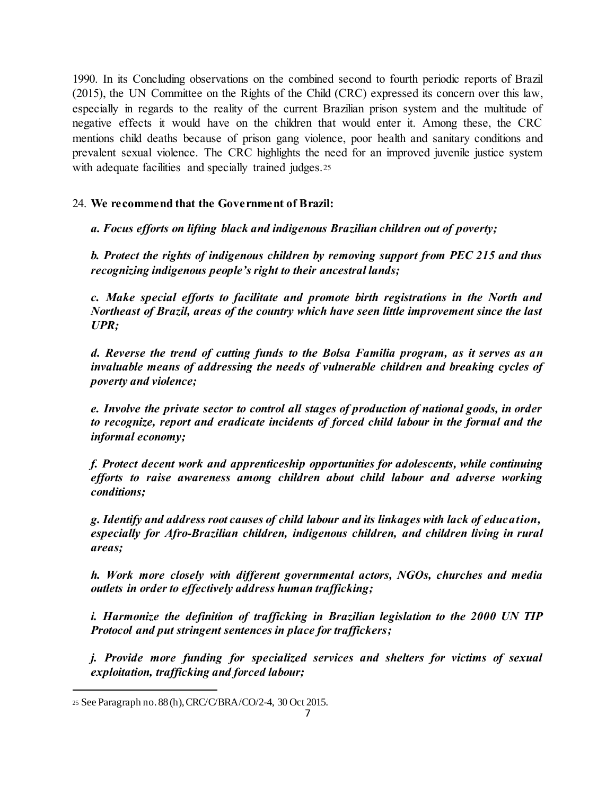1990. In its Concluding observations on the combined second to fourth periodic reports of Brazil (2015), the UN Committee on the Rights of the Child (CRC) expressed its concern over this law, especially in regards to the reality of the current Brazilian prison system and the multitude of negative effects it would have on the children that would enter it. Among these, the CRC mentions child deaths because of prison gang violence, poor health and sanitary conditions and prevalent sexual violence. The CRC highlights the need for an improved juvenile justice system with adequate facilities and specially trained judges.25

# 24. **We recommend that the Government of Brazil:**

*a. Focus efforts on lifting black and indigenous Brazilian children out of poverty;*

*b. Protect the rights of indigenous children by removing support from PEC 215 and thus recognizing indigenous people's right to their ancestral lands;*

*c. Make special efforts to facilitate and promote birth registrations in the North and Northeast of Brazil, areas of the country which have seen little improvement since the last UPR;*

*d. Reverse the trend of cutting funds to the Bolsa Familia program, as it serves as an invaluable means of addressing the needs of vulnerable children and breaking cycles of poverty and violence;*

*e. Involve the private sector to control all stages of production of national goods, in order to recognize, report and eradicate incidents of forced child labour in the formal and the informal economy;*

*f. Protect decent work and apprenticeship opportunities for adolescents, while continuing efforts to raise awareness among children about child labour and adverse working conditions;*

*g. Identify and address root causes of child labour and its linkages with lack of education, especially for Afro-Brazilian children, indigenous children, and children living in rural areas;*

*h. Work more closely with different governmental actors, NGOs, churches and media outlets in order to effectively address human trafficking;*

*i. Harmonize the definition of trafficking in Brazilian legislation to the 2000 UN TIP Protocol and put stringent sentences in place for traffickers;*

*j. Provide more funding for specialized services and shelters for victims of sexual exploitation, trafficking and forced labour;*

l

<sup>25</sup> See Paragraph no. 88 (h), CRC/C/BRA/CO/2-4, 30 Oct 2015.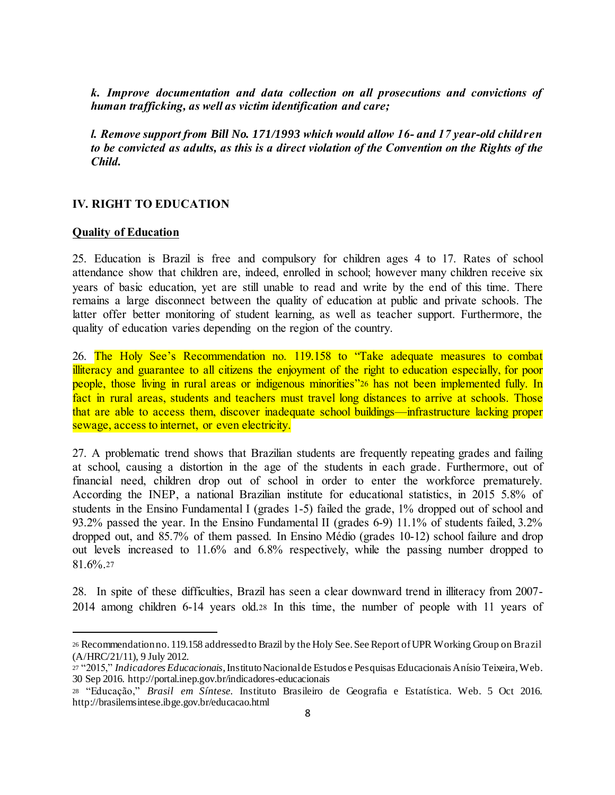*k. Improve documentation and data collection on all prosecutions and convictions of human trafficking, as well as victim identification and care;*

*l. Remove support from Bill No. 171/1993 which would allow 16- and 17 year-old children to be convicted as adults, as this is a direct violation of the Convention on the Rights of the Child.*

#### **IV. RIGHT TO EDUCATION**

#### **Quality of Education**

l

25. Education is Brazil is free and compulsory for children ages 4 to 17. Rates of school attendance show that children are, indeed, enrolled in school; however many children receive six years of basic education, yet are still unable to read and write by the end of this time. There remains a large disconnect between the quality of education at public and private schools. The latter offer better monitoring of student learning, as well as teacher support. Furthermore, the quality of education varies depending on the region of the country.

26. The Holy See's Recommendation no. 119.158 to "Take adequate measures to combat illiteracy and guarantee to all citizens the enjoyment of the right to education especially, for poor people, those living in rural areas or indigenous minorities"<sup>26</sup> has not been implemented fully. In fact in rural areas, students and teachers must travel long distances to arrive at schools. Those that are able to access them, discover inadequate school buildings—infrastructure lacking proper sewage, access to internet, or even electricity.

27. A problematic trend shows that Brazilian students are frequently repeating grades and failing at school, causing a distortion in the age of the students in each grade. Furthermore, out of financial need, children drop out of school in order to enter the workforce prematurely. According the INEP, a national Brazilian institute for educational statistics, in 2015 5.8% of students in the Ensino Fundamental I (grades 1-5) failed the grade, 1% dropped out of school and 93.2% passed the year. In the Ensino Fundamental II (grades 6-9) 11.1% of students failed, 3.2% dropped out, and 85.7% of them passed. In Ensino Médio (grades 10-12) school failure and drop out levels increased to 11.6% and 6.8% respectively, while the passing number dropped to 81.6%.<sup>27</sup>

28. In spite of these difficulties, Brazil has seen a clear downward trend in illiteracy from 2007- 2014 among children 6-14 years old.<sup>28</sup> In this time, the number of people with 11 years of

<sup>26</sup> Recommendation no. 119.158 addressed to Brazil by the Holy See. See Report of UPR Working Group on Brazil (A/HRC/21/11), 9 July 2012.

<sup>27</sup> "2015," *Indicadores Educacionais*, Instituto Nacional de Estudos e Pesquisas Educacionais Anísio Teixeira, Web. 30 Sep 2016. http://portal.inep.gov.br/indicadores-educacionais

<sup>28</sup> "Educação," *Brasil em Síntese.* Instituto Brasileiro de Geografia e Estatística. Web. 5 Oct 2016. http://brasilemsintese.ibge.gov.br/educacao.html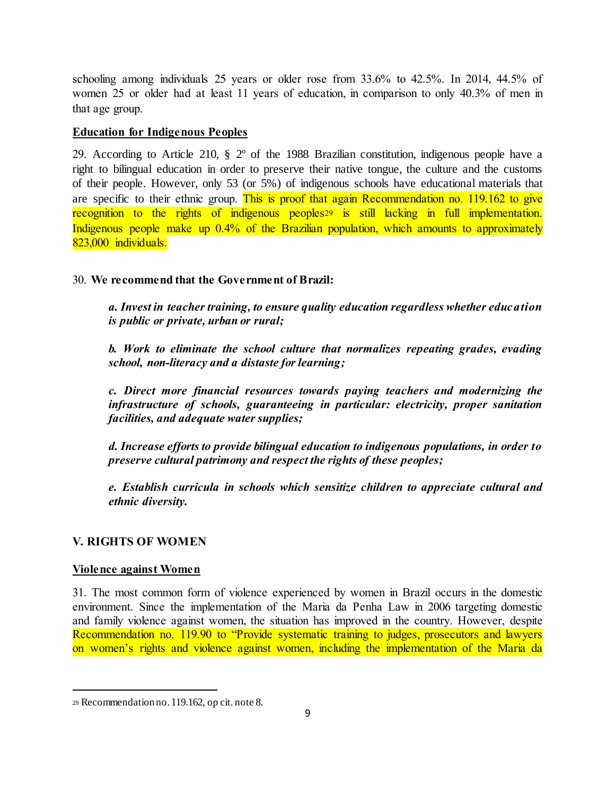schooling among individuals 25 years or older rose from 33.6% to 42.5%. In 2014, 44.5% of women 25 or older had at least 11 years of education, in comparison to only 40.3% of men in that age group.

# **Education for Indigenous Peoples**

29. According to Article 210, § 2º of the 1988 Brazilian constitution, indigenous people have a right to bilingual education in order to preserve their native tongue, the culture and the customs of their people. However, only 53 (or 5%) of indigenous schools have educational materials that are specific to their ethnic group. This is proof that again Recommendation no. 119.162 to give recognition to the rights of indigenous peoples<sup>29</sup> is still lacking in full implementation. Indigenous people make up 0.4% of the Brazilian population, which amounts to approximately 823,000 individuals.

# 30. **We recommend that the Government of Brazil:**

*a. Invest in teacher training, to ensure quality education regardless whether education is public or private, urban or rural;*

*b. Work to eliminate the school culture that normalizes repeating grades, evading school, non-literacy and a distaste for learning;*

*c. Direct more financial resources towards paying teachers and modernizing the infrastructure of schools, guaranteeing in particular: electricity, proper sanitation facilities, and adequate water supplies;*

*d. Increase efforts to provide bilingual education to indigenous populations, in order to preserve cultural patrimony and respect the rights of these peoples;*

*e. Establish curricula in schools which sensitize children to appreciate cultural and ethnic diversity.*

# **V. RIGHTS OF WOMEN**

#### **Violence against Women**

l

31. The most common form of violence experienced by women in Brazil occurs in the domestic environment. Since the implementation of the Maria da Penha Law in 2006 targeting domestic and family violence against women, the situation has improved in the country. However, despite Recommendation no. 119.90 to "Provide systematic training to judges, prosecutors and lawyers on women's rights and violence against women, including the implementation of the Maria da

<sup>29</sup> Recommendation no. 119.162, op cit. note 8.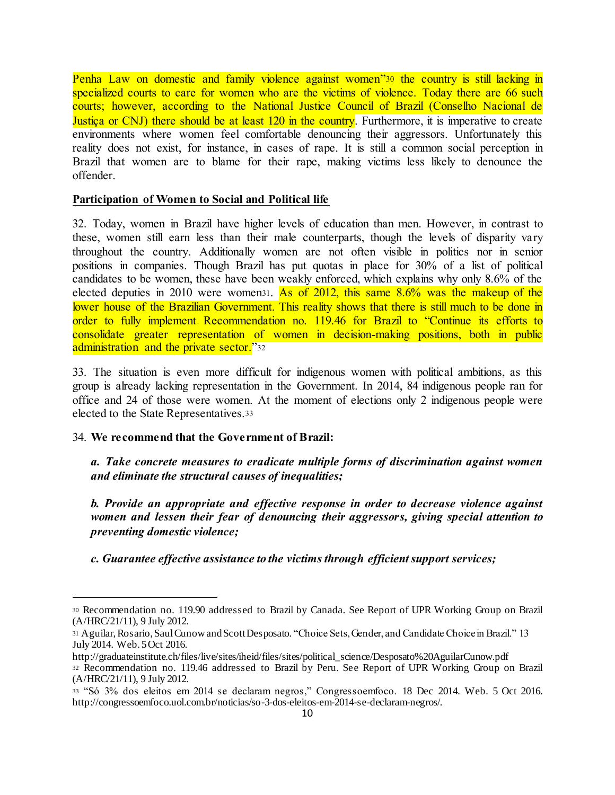Penha Law on domestic and family violence against women<sup>330</sup> the country is still lacking in specialized courts to care for women who are the victims of violence. Today there are 66 such courts; however, according to the National Justice Council of Brazil (Conselho Nacional de Justica or CNJ) there should be at least 120 in the country. Furthermore, it is imperative to create environments where women feel comfortable denouncing their aggressors. Unfortunately this reality does not exist, for instance, in cases of rape. It is still a common social perception in Brazil that women are to blame for their rape, making victims less likely to denounce the offender.

#### **Participation of Women to Social and Political life**

32. Today, women in Brazil have higher levels of education than men. However, in contrast to these, women still earn less than their male counterparts, though the levels of disparity vary throughout the country. Additionally women are not often visible in politics nor in senior positions in companies. Though Brazil has put quotas in place for 30% of a list of political candidates to be women, these have been weakly enforced, which explains why only 8.6% of the elected deputies in 2010 were women31. As of 2012, this same 8.6% was the makeup of the lower house of the Brazilian Government. This reality shows that there is still much to be done in order to fully implement Recommendation no. 119.46 for Brazil to "Continue its efforts to consolidate greater representation of women in decision-making positions, both in public administration and the private sector."32

33. The situation is even more difficult for indigenous women with political ambitions, as this group is already lacking representation in the Government. In 2014, 84 indigenous people ran for office and 24 of those were women. At the moment of elections only 2 indigenous people were elected to the State Representatives.<sup>33</sup>

#### 34. **We recommend that the Government of Brazil:**

l

*a. Take concrete measures to eradicate multiple forms of discrimination against women and eliminate the structural causes of inequalities;*

*b. Provide an appropriate and effective response in order to decrease violence against women and lessen their fear of denouncing their aggressors, giving special attention to preventing domestic violence;* 

*c. Guarantee effective assistance to the victims through efficient support services;*

<sup>30</sup> Recommendation no. 119.90 addressed to Brazil by Canada. See Report of UPR Working Group on Brazil (A/HRC/21/11), 9 July 2012.

<sup>31</sup> Aguilar, Rosario, Saul Cunow and Scott Desposato. "Choice Sets, Gender, and Candidate Choice in Brazil." 13 July 2014. Web. 5 Oct 2016.

http://graduateinstitute.ch/files/live/sites/iheid/files/sites/political\_science/Desposato%20AguilarCunow.pdf <sup>32</sup> Recommendation no. 119.46 addressed to Brazil by Peru. See Report of UPR Working Group on Brazil (A/HRC/21/11), 9 July 2012.

<sup>33</sup> "Só 3% dos eleitos em 2014 se declaram negros," Congressoemfoco. 18 Dec 2014. Web. 5 Oct 2016. http://congressoemfoco.uol.com.br/noticias/so-3-dos-eleitos-em-2014-se-declaram-negros/.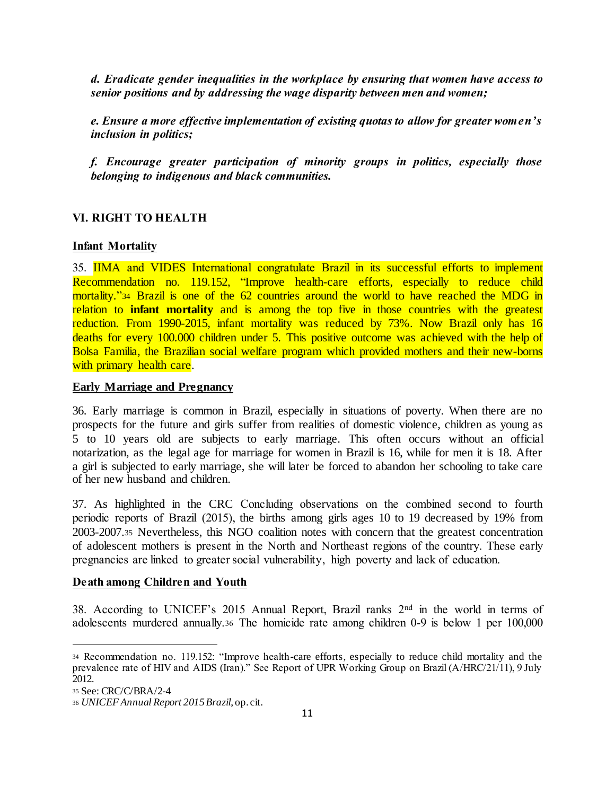*d. Eradicate gender inequalities in the workplace by ensuring that women have access to senior positions and by addressing the wage disparity between men and women;*

*e. Ensure a more effective implementation of existing quotas to allow for greater women's inclusion in politics;* 

*f. Encourage greater participation of minority groups in politics, especially those belonging to indigenous and black communities.* 

### **VI. RIGHT TO HEALTH**

#### **Infant Mortality**

35. IIMA and VIDES International congratulate Brazil in its successful efforts to implement Recommendation no. 119.152, "Improve health-care efforts, especially to reduce child mortality."<sup>34</sup> Brazil is one of the 62 countries around the world to have reached the MDG in relation to **infant mortality** and is among the top five in those countries with the greatest reduction. From 1990-2015, infant mortality was reduced by 73%. Now Brazil only has 16 deaths for every 100.000 children under 5. This positive outcome was achieved with the help of Bolsa Familia, the Brazilian social welfare program which provided mothers and their new-borns with primary health care.

#### **Early Marriage and Pregnancy**

36. Early marriage is common in Brazil, especially in situations of poverty. When there are no prospects for the future and girls suffer from realities of domestic violence, children as young as 5 to 10 years old are subjects to early marriage. This often occurs without an official notarization, as the legal age for marriage for women in Brazil is 16, while for men it is 18. After a girl is subjected to early marriage, she will later be forced to abandon her schooling to take care of her new husband and children.

37. As highlighted in the CRC Concluding observations on the combined second to fourth periodic reports of Brazil (2015), the births among girls ages 10 to 19 decreased by 19% from 2003-2007.<sup>35</sup> Nevertheless, this NGO coalition notes with concern that the greatest concentration of adolescent mothers is present in the North and Northeast regions of the country. These early pregnancies are linked to greater social vulnerability, high poverty and lack of education.

#### **Death among Children and Youth**

38. According to UNICEF's 2015 Annual Report, Brazil ranks 2nd in the world in terms of adolescents murdered annually.<sup>36</sup> The homicide rate among children 0-9 is below 1 per 100,000

l

<sup>34</sup> Recommendation no. 119.152: "Improve health-care efforts, especially to reduce child mortality and the prevalence rate of HIV and AIDS (Iran)." See Report of UPR Working Group on Brazil (A/HRC/21/11), 9 July 2012.

<sup>35</sup> See: CRC/C/BRA/2-4

<sup>36</sup> *UNICEF Annual Report 2015 Brazil*, op. cit.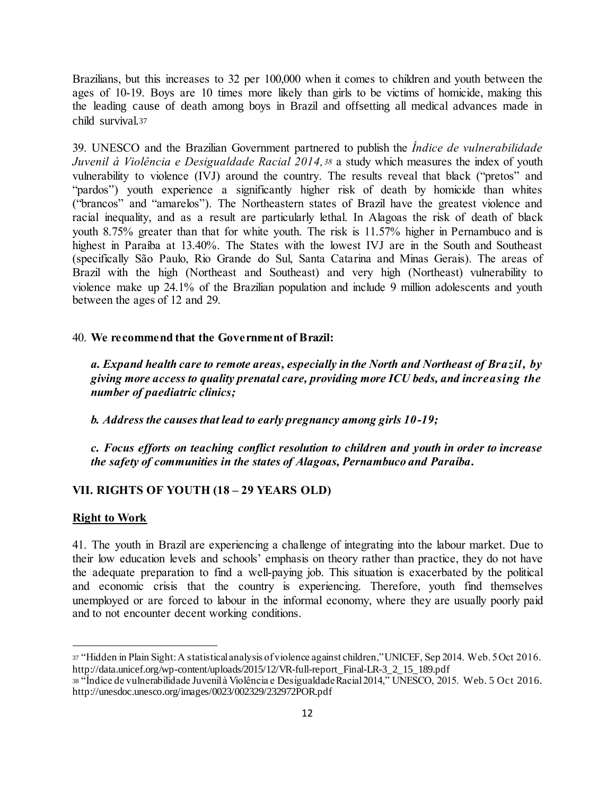Brazilians, but this increases to 32 per 100,000 when it comes to children and youth between the ages of 10-19. Boys are 10 times more likely than girls to be victims of homicide, making this the leading cause of death among boys in Brazil and offsetting all medical advances made in child survival.<sup>37</sup>

39. UNESCO and the Brazilian Government partnered to publish the *Índice de vulnerabilidade Juvenil à Violência e Desigualdade Racial 2014,<sup>38</sup>* a study which measures the index of youth vulnerability to violence (IVJ) around the country. The results reveal that black ("pretos" and "pardos") youth experience a significantly higher risk of death by homicide than whites ("brancos" and "amarelos"). The Northeastern states of Brazil have the greatest violence and racial inequality, and as a result are particularly lethal. In Alagoas the risk of death of black youth 8.75% greater than that for white youth. The risk is 11.57% higher in Pernambuco and is highest in Paraíba at 13.40%. The States with the lowest IVJ are in the South and Southeast (specifically São Paulo, Rio Grande do Sul, Santa Catarina and Minas Gerais). The areas of Brazil with the high (Northeast and Southeast) and very high (Northeast) vulnerability to violence make up 24.1% of the Brazilian population and include 9 million adolescents and youth between the ages of 12 and 29.

#### 40. **We recommend that the Government of Brazil:**

*a. Expand health care to remote areas, especially in the North and Northeast of Brazil, by giving more access to quality prenatal care, providing more ICU beds, and increasing the number of paediatric clinics;* 

*b. Address the causes that lead to early pregnancy among girls 10-19;*

*c. Focus efforts on teaching conflict resolution to children and youth in order to increase the safety of communities in the states of Alagoas, Pernambuco and Paraíba.*

#### **VII. RIGHTS OF YOUTH (18 – 29 YEARS OLD)**

#### **Right to Work**

l

41. The youth in Brazil are experiencing a challenge of integrating into the labour market. Due to their low education levels and schools' emphasis on theory rather than practice, they do not have the adequate preparation to find a well-paying job. This situation is exacerbated by the political and economic crisis that the country is experiencing. Therefore, youth find themselves unemployed or are forced to labour in the informal economy, where they are usually poorly paid and to not encounter decent working conditions.

<sup>37</sup> "Hidden in Plain Sight: A statistical analysis of violence against children," UNICEF, Sep 2014. Web. 5 Oct 2016. http://data.unicef.org/wp-content/uploads/2015/12/VR-full-report\_Final-LR-3\_2\_15\_189.pdf

<sup>38</sup> "Índice de vulnerabilidade Juvenil à Violência e Desigualdade Racial 2014," UNESCO, 2015. Web. 5 Oct 2016. http://unesdoc.unesco.org/images/0023/002329/232972POR.pdf